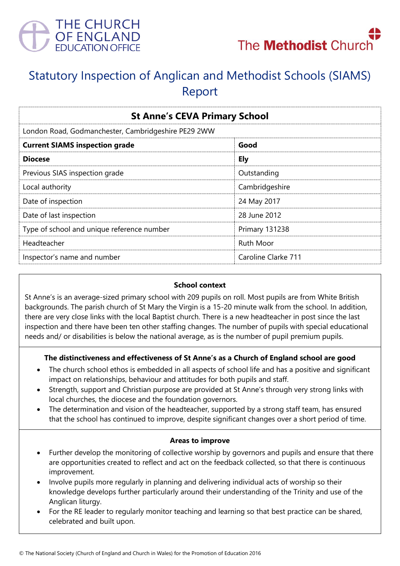



# Statutory Inspection of Anglican and Methodist Schools (SIAMS) Report

| <b>St Anne's CEVA Primary School</b>                |                       |
|-----------------------------------------------------|-----------------------|
| London Road, Godmanchester, Cambridgeshire PE29 2WW |                       |
| <b>Current SIAMS inspection grade</b>               | Good                  |
| <b>Diocese</b>                                      | <b>Ely</b>            |
| Previous SIAS inspection grade                      | Outstanding           |
| Local authority                                     | Cambridgeshire        |
| Date of inspection                                  | 24 May 2017           |
| Date of last inspection                             | 28 June 2012          |
| Type of school and unique reference number          | <b>Primary 131238</b> |
| Headteacher                                         | <b>Ruth Moor</b>      |
| Inspector's name and number                         | Caroline Clarke 711   |

#### **School context**

St Anne's is an average-sized primary school with 209 pupils on roll. Most pupils are from White British backgrounds. The parish church of St Mary the Virgin is a 15-20 minute walk from the school. In addition, there are very close links with the local Baptist church. There is a new headteacher in post since the last inspection and there have been ten other staffing changes. The number of pupils with special educational needs and/ or disabilities is below the national average, as is the number of pupil premium pupils.

#### **The distinctiveness and effectiveness of St Anne's as a Church of England school are good**

- The church school ethos is embedded in all aspects of school life and has a positive and significant impact on relationships, behaviour and attitudes for both pupils and staff.
- Strength, support and Christian purpose are provided at St Anne's through very strong links with local churches, the diocese and the foundation governors.
- The determination and vision of the headteacher, supported by a strong staff team, has ensured that the school has continued to improve, despite significant changes over a short period of time.

#### **Areas to improve**

- Further develop the monitoring of collective worship by governors and pupils and ensure that there are opportunities created to reflect and act on the feedback collected, so that there is continuous improvement.
- Involve pupils more regularly in planning and delivering individual acts of worship so their knowledge develops further particularly around their understanding of the Trinity and use of the Anglican liturgy.
- For the RE leader to regularly monitor teaching and learning so that best practice can be shared, celebrated and built upon.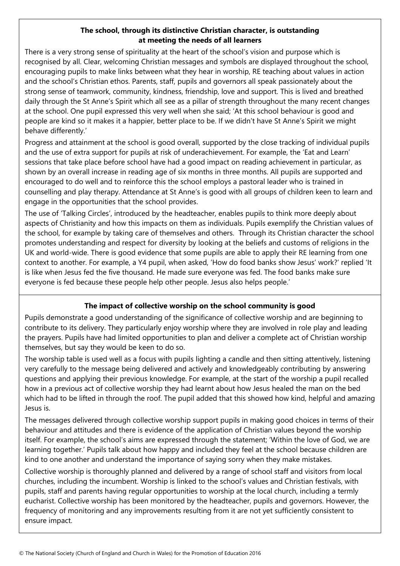### **The school, through its distinctive Christian character, is outstanding at meeting the needs of all learners**

There is a very strong sense of spirituality at the heart of the school's vision and purpose which is recognised by all. Clear, welcoming Christian messages and symbols are displayed throughout the school, encouraging pupils to make links between what they hear in worship, RE teaching about values in action and the school's Christian ethos. Parents, staff, pupils and governors all speak passionately about the strong sense of teamwork, community, kindness, friendship, love and support. This is lived and breathed daily through the St Anne's Spirit which all see as a pillar of strength throughout the many recent changes at the school. One pupil expressed this very well when she said; 'At this school behaviour is good and people are kind so it makes it a happier, better place to be. If we didn't have St Anne's Spirit we might behave differently.'

Progress and attainment at the school is good overall, supported by the close tracking of individual pupils and the use of extra support for pupils at risk of underachievement. For example, the 'Eat and Learn' sessions that take place before school have had a good impact on reading achievement in particular, as shown by an overall increase in reading age of six months in three months. All pupils are supported and encouraged to do well and to reinforce this the school employs a pastoral leader who is trained in counselling and play therapy. Attendance at St Anne's is good with all groups of children keen to learn and engage in the opportunities that the school provides.

The use of 'Talking Circles', introduced by the headteacher, enables pupils to think more deeply about aspects of Christianity and how this impacts on them as individuals. Pupils exemplify the Christian values of the school, for example by taking care of themselves and others. Through its Christian character the school promotes understanding and respect for diversity by looking at the beliefs and customs of religions in the UK and world-wide. There is good evidence that some pupils are able to apply their RE learning from one context to another. For example, a Y4 pupil, when asked, 'How do food banks show Jesus' work?' replied 'It is like when Jesus fed the five thousand. He made sure everyone was fed. The food banks make sure everyone is fed because these people help other people. Jesus also helps people.'

## **The impact of collective worship on the school community is good**

Pupils demonstrate a good understanding of the significance of collective worship and are beginning to contribute to its delivery. They particularly enjoy worship where they are involved in role play and leading the prayers. Pupils have had limited opportunities to plan and deliver a complete act of Christian worship themselves, but say they would be keen to do so.

The worship table is used well as a focus with pupils lighting a candle and then sitting attentively, listening very carefully to the message being delivered and actively and knowledgeably contributing by answering questions and applying their previous knowledge. For example, at the start of the worship a pupil recalled how in a previous act of collective worship they had learnt about how Jesus healed the man on the bed which had to be lifted in through the roof. The pupil added that this showed how kind, helpful and amazing Jesus is.

The messages delivered through collective worship support pupils in making good choices in terms of their behaviour and attitudes and there is evidence of the application of Christian values beyond the worship itself. For example, the school's aims are expressed through the statement; 'Within the love of God, we are learning together.' Pupils talk about how happy and included they feel at the school because children are kind to one another and understand the importance of saying sorry when they make mistakes.

Collective worship is thoroughly planned and delivered by a range of school staff and visitors from local churches, including the incumbent. Worship is linked to the school's values and Christian festivals, with pupils, staff and parents having regular opportunities to worship at the local church, including a termly eucharist. Collective worship has been monitored by the headteacher, pupils and governors. However, the frequency of monitoring and any improvements resulting from it are not yet sufficiently consistent to ensure impact.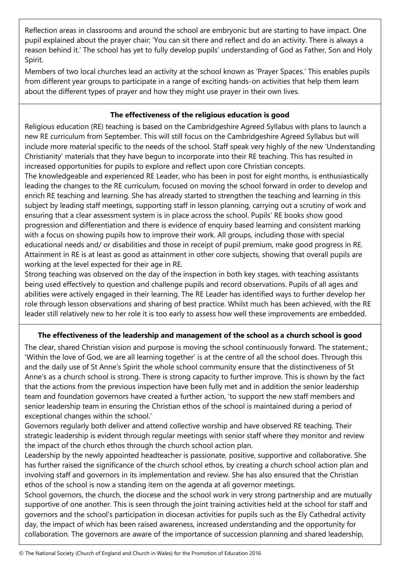Reflection areas in classrooms and around the school are embryonic but are starting to have impact. One pupil explained about the prayer chair; 'You can sit there and reflect and do an activity. There is always a reason behind it.' The school has yet to fully develop pupils' understanding of God as Father, Son and Holy Spirit.

Members of two local churches lead an activity at the school known as 'Prayer Spaces.' This enables pupils from different year groups to participate in a range of exciting hands-on activities that help them learn about the different types of prayer and how they might use prayer in their own lives.

### **The effectiveness of the religious education is good**

Religious education (RE) teaching is based on the Cambridgeshire Agreed Syllabus with plans to launch a new RE curriculum from September. This will still focus on the Cambridgeshire Agreed Syllabus but will include more material specific to the needs of the school. Staff speak very highly of the new 'Understanding Christianity' materials that they have begun to incorporate into their RE teaching. This has resulted in increased opportunities for pupils to explore and reflect upon core Christian concepts.

The knowledgeable and experienced RE Leader, who has been in post for eight months, is enthusiastically leading the changes to the RE curriculum, focused on moving the school forward in order to develop and enrich RE teaching and learning. She has already started to strengthen the teaching and learning in this subject by leading staff meetings, supporting staff in lesson planning, carrying out a scrutiny of work and ensuring that a clear assessment system is in place across the school. Pupils' RE books show good progression and differentiation and there is evidence of enquiry based learning and consistent marking with a focus on showing pupils how to improve their work. All groups, including those with special educational needs and/ or disabilities and those in receipt of pupil premium, make good progress in RE. Attainment in RE is at least as good as attainment in other core subjects, showing that overall pupils are working at the level expected for their age in RE.

Strong teaching was observed on the day of the inspection in both key stages, with teaching assistants being used effectively to question and challenge pupils and record observations. Pupils of all ages and abilities were actively engaged in their learning. The RE Leader has identified ways to further develop her role through lesson observations and sharing of best practice. Whilst much has been achieved, with the RE leader still relatively new to her role it is too early to assess how well these improvements are embedded.

## **The effectiveness of the leadership and management of the school as a church school is good**

The clear, shared Christian vision and purpose is moving the school continuously forward. The statement.; 'Within the love of God, we are all learning together' is at the centre of all the school does. Through this and the daily use of St Anne's Spirit the whole school community ensure that the distinctiveness of St Anne's as a church school is strong. There is strong capacity to further improve. This is shown by the fact that the actions from the previous inspection have been fully met and in addition the senior leadership team and foundation governors have created a further action, 'to support the new staff members and senior leadership team in ensuring the Christian ethos of the school is maintained during a period of exceptional changes within the school.'

Governors regularly both deliver and attend collective worship and have observed RE teaching. Their strategic leadership is evident through regular meetings with senior staff where they monitor and review the impact of the church ethos through the church school action plan.

Leadership by the newly appointed headteacher is passionate, positive, supportive and collaborative. She has further raised the significance of the church school ethos, by creating a church school action plan and involving staff and governors in its implementation and review. She has also ensured that the Christian ethos of the school is now a standing item on the agenda at all governor meetings.

School governors, the church, the diocese and the school work in very strong partnership and are mutually supportive of one another. This is seen through the joint training activities held at the school for staff and governors and the school's participation in diocesan activities for pupils such as the Ely Cathedral activity day, the impact of which has been raised awareness, increased understanding and the opportunity for collaboration. The governors are aware of the importance of succession planning and shared leadership,